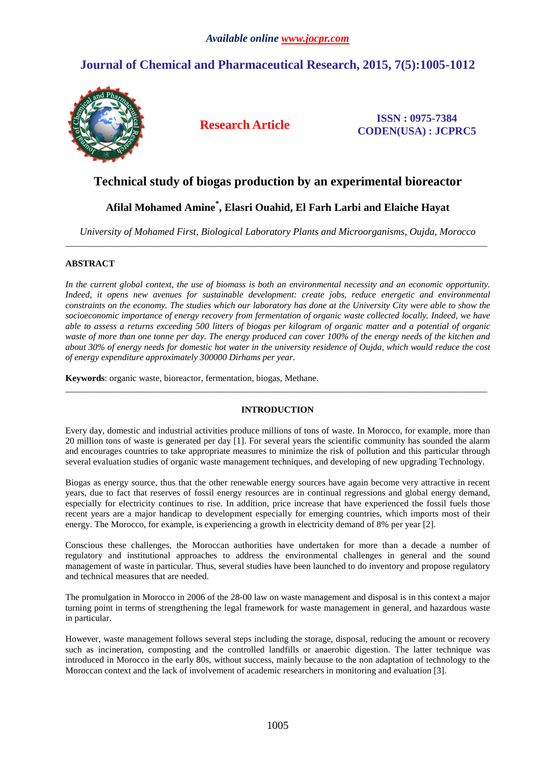# **Journal of Chemical and Pharmaceutical Research, 2015, 7(5):1005-1012**



**Research Article ISSN : 0975-7384 CODEN(USA) : JCPRC5**

# **Technical study of biogas production by an experimental bioreactor**

# **Afilal Mohamed Amine\* , Elasri Ouahid, El Farh Larbi and Elaiche Hayat**

*University of Mohamed First, Biological Laboratory Plants and Microorganisms, Oujda, Morocco*  \_\_\_\_\_\_\_\_\_\_\_\_\_\_\_\_\_\_\_\_\_\_\_\_\_\_\_\_\_\_\_\_\_\_\_\_\_\_\_\_\_\_\_\_\_\_\_\_\_\_\_\_\_\_\_\_\_\_\_\_\_\_\_\_\_\_\_\_\_\_\_\_\_\_\_\_\_\_\_\_\_\_\_\_\_\_\_\_\_\_\_\_\_

# **ABSTRACT**

In the current global context, the use of biomass is both an environmental necessity and an economic opportunity. *Indeed, it opens new avenues for sustainable development: create jobs, reduce energetic and environmental constraints on the economy. The studies which our laboratory has done at the University City were able to show the socioeconomic importance of energy recovery from fermentation of organic waste collected locally. Indeed, we have able to assess a returns exceeding 500 litters of biogas per kilogram of organic matter and a potential of organic waste of more than one tonne per day. The energy produced can cover 100% of the energy needs of the kitchen and about 30% of energy needs for domestic hot water in the university residence of Oujda, which would reduce the cost of energy expenditure approximately 300000 Dirhams per year.* 

**Keywords**: organic waste, bioreactor, fermentation, biogas, Methane.

## **INTRODUCTION**

\_\_\_\_\_\_\_\_\_\_\_\_\_\_\_\_\_\_\_\_\_\_\_\_\_\_\_\_\_\_\_\_\_\_\_\_\_\_\_\_\_\_\_\_\_\_\_\_\_\_\_\_\_\_\_\_\_\_\_\_\_\_\_\_\_\_\_\_\_\_\_\_\_\_\_\_\_\_\_\_\_\_\_\_\_\_\_\_\_\_\_\_\_

Every day, domestic and industrial activities produce millions of tons of waste. In Morocco, for example, more than 20 million tons of waste is generated per day [1]. For several years the scientific community has sounded the alarm and encourages countries to take appropriate measures to minimize the risk of pollution and this particular through several evaluation studies of organic waste management techniques, and developing of new upgrading Technology.

Biogas as energy source, thus that the other renewable energy sources have again become very attractive in recent years, due to fact that reserves of fossil energy resources are in continual regressions and global energy demand, especially for electricity continues to rise. In addition, price increase that have experienced the fossil fuels those recent years are a major handicap to development especially for emerging countries, which imports most of their energy. The Morocco, for example, is experiencing a growth in electricity demand of 8% per year [2].

Conscious these challenges, the Moroccan authorities have undertaken for more than a decade a number of regulatory and institutional approaches to address the environmental challenges in general and the sound management of waste in particular. Thus, several studies have been launched to do inventory and propose regulatory and technical measures that are needed.

The promulgation in Morocco in 2006 of the 28-00 law on waste management and disposal is in this context a major turning point in terms of strengthening the legal framework for waste management in general, and hazardous waste in particular.

However, waste management follows several steps including the storage, disposal, reducing the amount or recovery such as incineration, composting and the controlled landfills or anaerobic digestion. The latter technique was introduced in Morocco in the early 80s, without success, mainly because to the non adaptation of technology to the Moroccan context and the lack of involvement of academic researchers in monitoring and evaluation [3].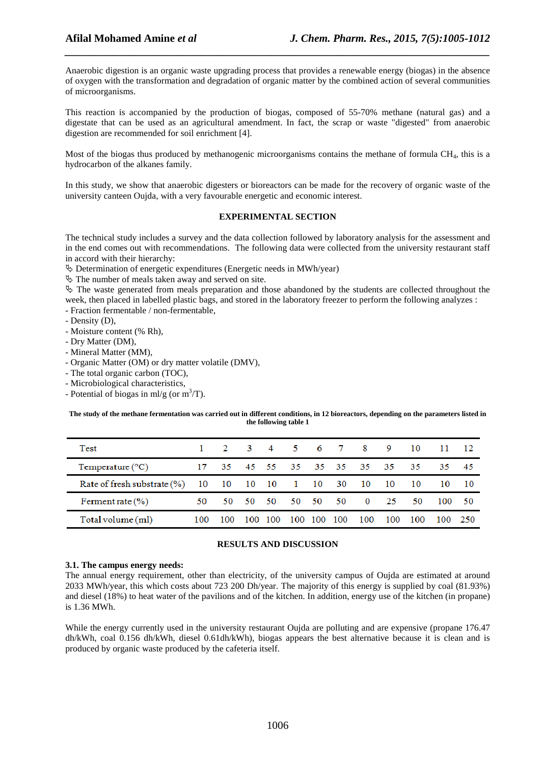Anaerobic digestion is an organic waste upgrading process that provides a renewable energy (biogas) in the absence of oxygen with the transformation and degradation of organic matter by the combined action of several communities of microorganisms.

*\_\_\_\_\_\_\_\_\_\_\_\_\_\_\_\_\_\_\_\_\_\_\_\_\_\_\_\_\_\_\_\_\_\_\_\_\_\_\_\_\_\_\_\_\_\_\_\_\_\_\_\_\_\_\_\_\_\_\_\_\_\_\_\_\_\_\_\_\_\_\_\_\_\_\_\_\_\_*

This reaction is accompanied by the production of biogas, composed of 55-70% methane (natural gas) and a digestate that can be used as an agricultural amendment. In fact, the scrap or waste "digested" from anaerobic digestion are recommended for soil enrichment [4].

Most of the biogas thus produced by methanogenic microorganisms contains the methane of formula CH4, this is a hydrocarbon of the alkanes family.

In this study, we show that anaerobic digesters or bioreactors can be made for the recovery of organic waste of the university canteen Oujda, with a very favourable energetic and economic interest.

#### **EXPERIMENTAL SECTION**

The technical study includes a survey and the data collection followed by laboratory analysis for the assessment and in the end comes out with recommendations. The following data were collected from the university restaurant staff in accord with their hierarchy:

Determination of energetic expenditures (Energetic needs in MWh/year)

The number of meals taken away and served on site.

 $\&$  The waste generated from meals preparation and those abandoned by the students are collected throughout the week, then placed in labelled plastic bags, and stored in the laboratory freezer to perform the following analyzes :

- Fraction fermentable / non-fermentable,
- Density (D),
- Moisture content (% Rh),
- Dry Matter (DM),
- Mineral Matter (MM),
- Organic Matter (OM) or dry matter volatile (DMV),
- The total organic carbon (TOC),
- Microbiological characteristics,
- Potential of biogas in ml/g (or  $m^3/T$ ).

**The study of the methane fermentation was carried out in different conditions, in 12 bioreactors, depending on the parameters listed in the following table 1** 

| Test                           | 1.  |       | $\overline{\phantom{a}}$ | $\overline{4}$ | 5.      | 6 7 |     | -8                      | 9    | 10  |     | -12  |
|--------------------------------|-----|-------|--------------------------|----------------|---------|-----|-----|-------------------------|------|-----|-----|------|
| Temperature $(^{\circ}C)$      | 17  |       |                          |                |         |     |     | 35 45 55 35 35 35 35 35 |      | -35 | 35. | - 45 |
| Rate of fresh substrate $(\%)$ |     | 10 10 | 10 10                    |                | 1 10 30 |     |     | - 10                    | - 10 | 10  | 10  | - 10 |
| Ferment rate $(\%)$            | 50  | 50.   | - 50                     | - 50           | 50      | -50 | 50. | $\bf{0}$                | - 25 | 50  | 100 | -50  |
| Total volume (ml)              | 100 | 100   |                          |                |         | 10O | 100 | 100                     | 100  |     | 100 | -250 |

## **RESULTS AND DISCUSSION**

#### **3.1. The campus energy needs:**

The annual energy requirement, other than electricity, of the university campus of Oujda are estimated at around 2033 MWh/year, this which costs about 723 200 Dh/year. The majority of this energy is supplied by coal (81.93%) and diesel (18%) to heat water of the pavilions and of the kitchen. In addition, energy use of the kitchen (in propane) is 1.36 MWh.

While the energy currently used in the university restaurant Oujda are polluting and are expensive (propane 176.47 dh/kWh, coal 0.156 dh/kWh, diesel 0.61dh/kWh), biogas appears the best alternative because it is clean and is produced by organic waste produced by the cafeteria itself.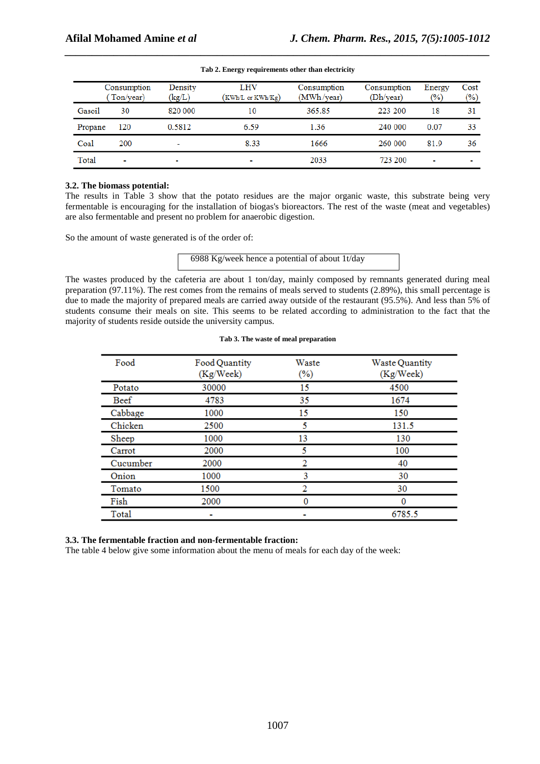|         | Consumption<br>Ton/year) | Density<br>(kg/L) | LHV<br>(KWh/L or KWh/Kg) | Consumption<br>(MWh/year) | Consumption<br>(Dh/year) | Energy<br>$\frac{1}{2}$ | Cost<br>$(\% )$ |
|---------|--------------------------|-------------------|--------------------------|---------------------------|--------------------------|-------------------------|-----------------|
| Gasoil  | 30                       | 820 000           | 10                       | 365.85                    | 223 200                  | 18                      | 31              |
| Propane | 120                      | 0.5812            | 6.59                     | 1.36                      | 240 000                  | 0.07                    | 33              |
| Coal    | 200                      |                   | 8.33                     | 1666                      | 260 000                  | 81.9                    | 36              |
| Total   | $\overline{\phantom{a}}$ | $\blacksquare$    | $\overline{\phantom{a}}$ | 2033                      | 723 200                  |                         |                 |

| Tab 2. Energy requirements other than electricity |
|---------------------------------------------------|

## **3.2. The biomass potential:**

The results in Table 3 show that the potato residues are the major organic waste, this substrate being very fermentable is encouraging for the installation of biogas's bioreactors. The rest of the waste (meat and vegetables) are also fermentable and present no problem for anaerobic digestion.

So the amount of waste generated is of the order of:

6988 Kg/week hence a potential of about 1t/day

The wastes produced by the cafeteria are about 1 ton/day, mainly composed by remnants generated during meal preparation (97.11%). The rest comes from the remains of meals served to students (2.89%), this small percentage is due to made the majority of prepared meals are carried away outside of the restaurant (95.5%). And less than 5% of students consume their meals on site. This seems to be related according to administration to the fact that the majority of students reside outside the university campus.

| Tab 3. The waste of meal preparation |  |
|--------------------------------------|--|
|--------------------------------------|--|

| Food        | Food Quantity<br>(Kg/Week) | Waste<br>$(\%)$ | Waste Quantity<br>(Kg/Week) |
|-------------|----------------------------|-----------------|-----------------------------|
| Potato      | 30000                      | 15              | 4500                        |
| <b>Beef</b> | 4783                       | 35              | 1674                        |
| Cabbage     | 1000                       | 15              | 150                         |
| Chicken     | 2500                       | 5               | 131.5                       |
| Sheep       | 1000                       | 13              | 130                         |
| Carrot      | 2000                       | 5               | 100                         |
| Cucumber    | 2000                       | 2               | 40                          |
| Onion       | 1000                       | 3               | 30                          |
| Tomato      | 1500                       | 2               | 30                          |
| Fish        | 2000                       | 0               | 0                           |
| Total       |                            |                 | 6785.5                      |

#### **3.3. The fermentable fraction and non-fermentable fraction:**

The table 4 below give some information about the menu of meals for each day of the week: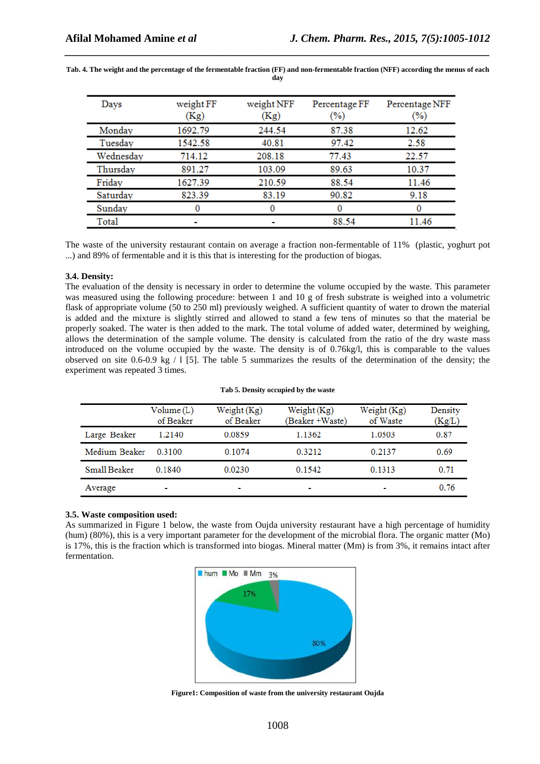| Days      | weight FF<br>(Kg) | weight NFF<br>(Kg) | Percentage FF<br>(%) | Percentage NFF<br>$(\%)$ |
|-----------|-------------------|--------------------|----------------------|--------------------------|
| Monday    | 1692.79           | 244.54             | 87.38                | 12.62                    |
| Tuesday   | 1542.58           | 40.81              | 97.42                | 2.58                     |
| Wednesday | 714.12            | 208.18             | 77.43                | 22.57                    |
| Thursday  | 891.27            | 103.09             | 89.63                | 10.37                    |
| Friday    | 1627.39           | 210.59             | 88.54                | 11.46                    |
| Saturday  | 823.39            | 83.19              | 90.82                | 9.18                     |
| Sunday    |                   |                    |                      |                          |
| Total     |                   |                    | 88.54                | 11.46                    |

**Tab. 4. The weight and the percentage of the fermentable fraction (FF) and non-fermentable fraction (NFF) according the menus of each day** 

*\_\_\_\_\_\_\_\_\_\_\_\_\_\_\_\_\_\_\_\_\_\_\_\_\_\_\_\_\_\_\_\_\_\_\_\_\_\_\_\_\_\_\_\_\_\_\_\_\_\_\_\_\_\_\_\_\_\_\_\_\_\_\_\_\_\_\_\_\_\_\_\_\_\_\_\_\_\_*

The waste of the university restaurant contain on average a fraction non-fermentable of 11% (plastic, yoghurt pot ...) and 89% of fermentable and it is this that is interesting for the production of biogas.

#### **3.4. Density:**

The evaluation of the density is necessary in order to determine the volume occupied by the waste. This parameter was measured using the following procedure: between 1 and 10 g of fresh substrate is weighed into a volumetric flask of appropriate volume (50 to 250 ml) previously weighed. A sufficient quantity of water to drown the material is added and the mixture is slightly stirred and allowed to stand a few tens of minutes so that the material be properly soaked. The water is then added to the mark. The total volume of added water, determined by weighing, allows the determination of the sample volume. The density is calculated from the ratio of the dry waste mass introduced on the volume occupied by the waste. The density is of 0.76kg/l, this is comparable to the values observed on site 0.6-0.9 kg  $/1$  [5]. The table 5 summarizes the results of the determination of the density; the experiment was repeated 3 times.

#### **Tab 5. Density occupied by the waste**

|               | Volume (L)<br>of Beaker  | Weight $(Kg)$<br>of Beaker | Weight (Kg)<br>(Beaker +Waste) | Weight (Kg)<br>of Waste | Density<br>(Kg/L) |
|---------------|--------------------------|----------------------------|--------------------------------|-------------------------|-------------------|
| Large Beaker  | 1.2140                   | 0.0859                     | 1.1362                         | 1.0503                  | 0.87              |
| Medium Beaker | 0.3100                   | 0.1074                     | 0.3212                         | 0.2137                  | 0.69              |
| Small Beaker  | 0.1840                   | 0.0230                     | 0.1542                         | 0.1313                  | 0.71              |
| Average       | $\overline{\phantom{a}}$ | $\overline{\phantom{a}}$   | $\blacksquare$                 |                         | 0.76              |

## **3.5. Waste composition used:**

As summarized in Figure 1 below, the waste from Oujda university restaurant have a high percentage of humidity (hum) (80%), this is a very important parameter for the development of the microbial flora. The organic matter (Mo) is 17%, this is the fraction which is transformed into biogas. Mineral matter (Mm) is from 3%, it remains intact after fermentation.



**Figure1: Composition of waste from the university restaurant Oujda**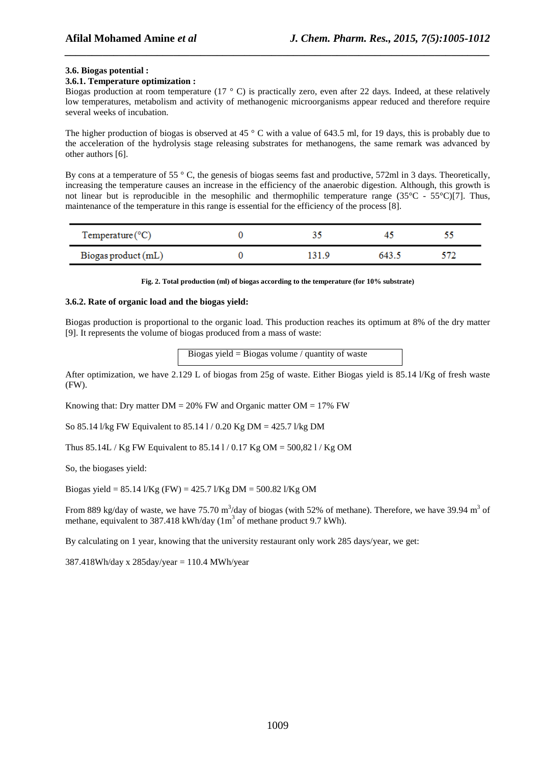## **3.6. Biogas potential :**

#### **3.6.1. Temperature optimization :**

Biogas production at room temperature (17  $\degree$  C) is practically zero, even after 22 days. Indeed, at these relatively low temperatures, metabolism and activity of methanogenic microorganisms appear reduced and therefore require several weeks of incubation.

*\_\_\_\_\_\_\_\_\_\_\_\_\_\_\_\_\_\_\_\_\_\_\_\_\_\_\_\_\_\_\_\_\_\_\_\_\_\_\_\_\_\_\_\_\_\_\_\_\_\_\_\_\_\_\_\_\_\_\_\_\_\_\_\_\_\_\_\_\_\_\_\_\_\_\_\_\_\_*

The higher production of biogas is observed at 45 ° C with a value of 643.5 ml, for 19 days, this is probably due to the acceleration of the hydrolysis stage releasing substrates for methanogens, the same remark was advanced by other authors [6].

By cons at a temperature of 55  $\degree$  C, the genesis of biogas seems fast and productive, 572ml in 3 days. Theoretically, increasing the temperature causes an increase in the efficiency of the anaerobic digestion. Although, this growth is not linear but is reproducible in the mesophilic and thermophilic temperature range  $(35^{\circ}C - 55^{\circ}C)/7$ . Thus, maintenance of the temperature in this range is essential for the efficiency of the process [8].

| $Temperature$ <sup>°C</sup> ) |      |       |  |
|-------------------------------|------|-------|--|
| Biogas product (mL)           | 31 Q | 643.5 |  |

**Fig. 2. Total production (ml) of biogas according to the temperature (for 10% substrate)** 

## **3.6.2. Rate of organic load and the biogas yield:**

Biogas production is proportional to the organic load. This production reaches its optimum at 8% of the dry matter [9]. It represents the volume of biogas produced from a mass of waste:

Biogas yield = Biogas volume / quantity of waste

After optimization, we have 2.129 L of biogas from 25g of waste. Either Biogas yield is 85.14 l/Kg of fresh waste (FW).

Knowing that: Dry matter  $DM = 20\%$  FW and Organic matter  $OM = 17\%$  FW

So 85.14 l/kg FW Equivalent to 85.14 l / 0.20 Kg DM = 425.7 l/kg DM

Thus 85.14L / Kg FW Equivalent to 85.14 1/0.17 Kg OM = 500,82 1/ Kg OM

So, the biogases yield:

Biogas yield = 85.14 l/Kg (FW) = 425.7 l/Kg DM = 500.82 l/Kg OM

From 889 kg/day of waste, we have 75.70 m<sup>3</sup>/day of biogas (with 52% of methane). Therefore, we have 39.94 m<sup>3</sup> of methane, equivalent to 387.418 kWh/day  $(1m^3 \text{ of} 1m^3 \text{ of} 9.7 \text{ KWh})$ .

By calculating on 1 year, knowing that the university restaurant only work 285 days/year, we get:

 $387.418Wh/day \times 285day/year = 110.4 MWh/year$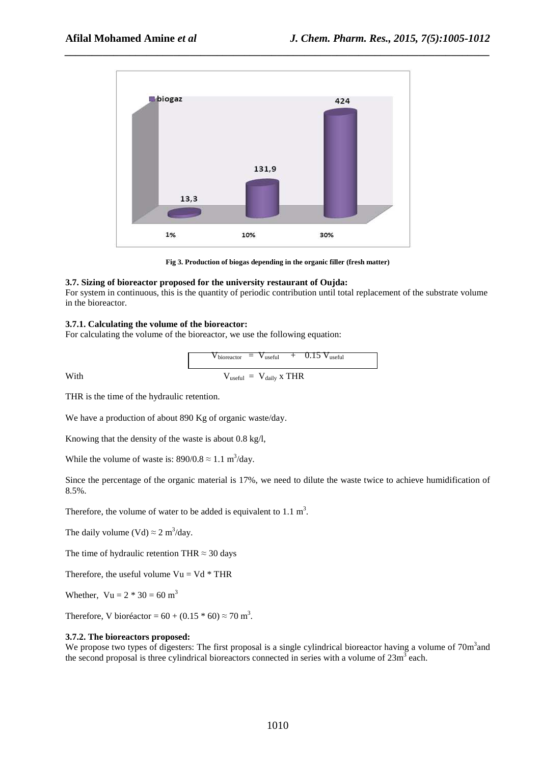

*\_\_\_\_\_\_\_\_\_\_\_\_\_\_\_\_\_\_\_\_\_\_\_\_\_\_\_\_\_\_\_\_\_\_\_\_\_\_\_\_\_\_\_\_\_\_\_\_\_\_\_\_\_\_\_\_\_\_\_\_\_\_\_\_\_\_\_\_\_\_\_\_\_\_\_\_\_\_*

**Fig 3. Production of biogas depending in the organic filler (fresh matter)** 

#### **3.7. Sizing of bioreactor proposed for the university restaurant of Oujda:**

For system in continuous, this is the quantity of periodic contribution until total replacement of the substrate volume in the bioreactor.

#### **3.7.1. Calculating the volume of the bioreactor:**

For calculating the volume of the bioreactor, we use the following equation:

$$
V_{\text{bioreactor}} = V_{\text{useful}} + 0.15 V_{\text{useful}}
$$
  
With 
$$
V_{\text{useful}} = V_{\text{daily}} \times \text{THR}
$$

THR is the time of the hydraulic retention.

We have a production of about 890 Kg of organic waste/day.

Knowing that the density of the waste is about 0.8 kg/l,

While the volume of waste is:  $890/0.8 \approx 1.1 \text{ m}^3/\text{day}$ .

Since the percentage of the organic material is 17%, we need to dilute the waste twice to achieve humidification of 8.5%.

Therefore, the volume of water to be added is equivalent to  $1.1 \text{ m}^3$ .

The daily volume (Vd)  $\approx 2 \text{ m}^3/\text{day}$ .

The time of hydraulic retention THR  $\approx$  30 days

Therefore, the useful volume  $Vu = Vd * THR$ 

Whether,  $Vu = 2 * 30 = 60$  m<sup>3</sup>

Therefore, V bioréactor =  $60 + (0.15 * 60) \approx 70$  m<sup>3</sup>.

#### **3.7.2. The bioreactors proposed:**

We propose two types of digesters: The first proposal is a single cylindrical bioreactor having a volume of  $70m<sup>3</sup>$  and the second proposal is three cylindrical bioreactors connected in series with a volume of  $23m<sup>3</sup>$  each.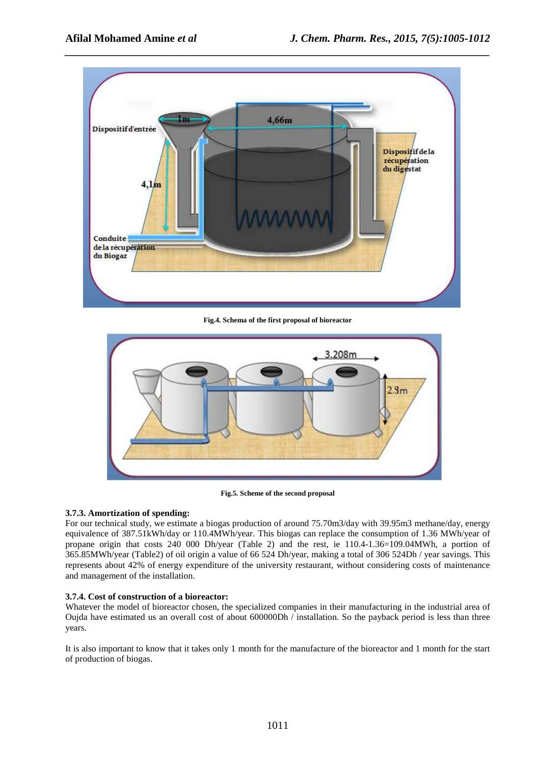

*\_\_\_\_\_\_\_\_\_\_\_\_\_\_\_\_\_\_\_\_\_\_\_\_\_\_\_\_\_\_\_\_\_\_\_\_\_\_\_\_\_\_\_\_\_\_\_\_\_\_\_\_\_\_\_\_\_\_\_\_\_\_\_\_\_\_\_\_\_\_\_\_\_\_\_\_\_\_*

**Fig.4. Schema of the first proposal of bioreactor** 



**Fig.5. Scheme of the second proposal** 

# **3.7.3. Amortization of spending:**

For our technical study, we estimate a biogas production of around 75.70m3/day with 39.95m3 methane/day, energy equivalence of 387.51kWh/day or 110.4MWh/year. This biogas can replace the consumption of 1.36 MWh/year of propane origin that costs 240 000 Dh/year (Table 2) and the rest, ie 110.4-1.36=109.04MWh, a portion of 365.85MWh/year (Table2) of oil origin a value of 66 524 Dh/year, making a total of 306 524Dh / year savings. This represents about 42% of energy expenditure of the university restaurant, without considering costs of maintenance and management of the installation.

# **3.7.4. Cost of construction of a bioreactor:**

Whatever the model of bioreactor chosen, the specialized companies in their manufacturing in the industrial area of Oujda have estimated us an overall cost of about 600000Dh / installation. So the payback period is less than three years.

It is also important to know that it takes only 1 month for the manufacture of the bioreactor and 1 month for the start of production of biogas.